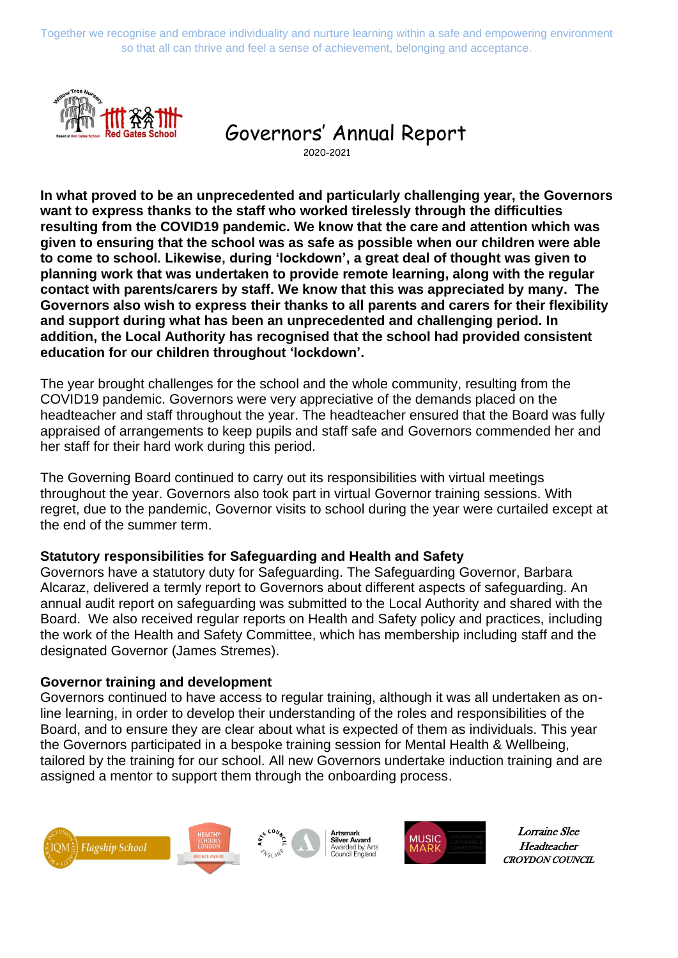Together we recognise and embrace individuality and nurture learning within a safe and empowering environment so that all can thrive and feel a sense of achievement, belonging and acceptance.



# Governors' Annual Report

2020-2021

**In what proved to be an unprecedented and particularly challenging year, the Governors want to express thanks to the staff who worked tirelessly through the difficulties resulting from the COVID19 pandemic. We know that the care and attention which was given to ensuring that the school was as safe as possible when our children were able to come to school. Likewise, during 'lockdown', a great deal of thought was given to planning work that was undertaken to provide remote learning, along with the regular contact with parents/carers by staff. We know that this was appreciated by many. The Governors also wish to express their thanks to all parents and carers for their flexibility and support during what has been an unprecedented and challenging period. In addition, the Local Authority has recognised that the school had provided consistent education for our children throughout 'lockdown'.** 

The year brought challenges for the school and the whole community, resulting from the COVID19 pandemic. Governors were very appreciative of the demands placed on the headteacher and staff throughout the year. The headteacher ensured that the Board was fully appraised of arrangements to keep pupils and staff safe and Governors commended her and her staff for their hard work during this period.

The Governing Board continued to carry out its responsibilities with virtual meetings throughout the year. Governors also took part in virtual Governor training sessions. With regret, due to the pandemic, Governor visits to school during the year were curtailed except at the end of the summer term.

#### **Statutory responsibilities for Safeguarding and Health and Safety**

Governors have a statutory duty for Safeguarding. The Safeguarding Governor, Barbara Alcaraz, delivered a termly report to Governors about different aspects of safeguarding. An annual audit report on safeguarding was submitted to the Local Authority and shared with the Board. We also received regular reports on Health and Safety policy and practices, including the work of the Health and Safety Committee, which has membership including staff and the designated Governor (James Stremes).

#### **Governor training and development**

Governors continued to have access to regular training, although it was all undertaken as online learning, in order to develop their understanding of the roles and responsibilities of the Board, and to ensure they are clear about what is expected of them as individuals. This year the Governors participated in a bespoke training session for Mental Health & Wellbeing, tailored by the training for our school. All new Governors undertake induction training and are assigned a mentor to support them through the onboarding process.





Lorraine Slee Lorraine Slee Headteacher Headteacher CROYDON COU CROYDON COUNCIL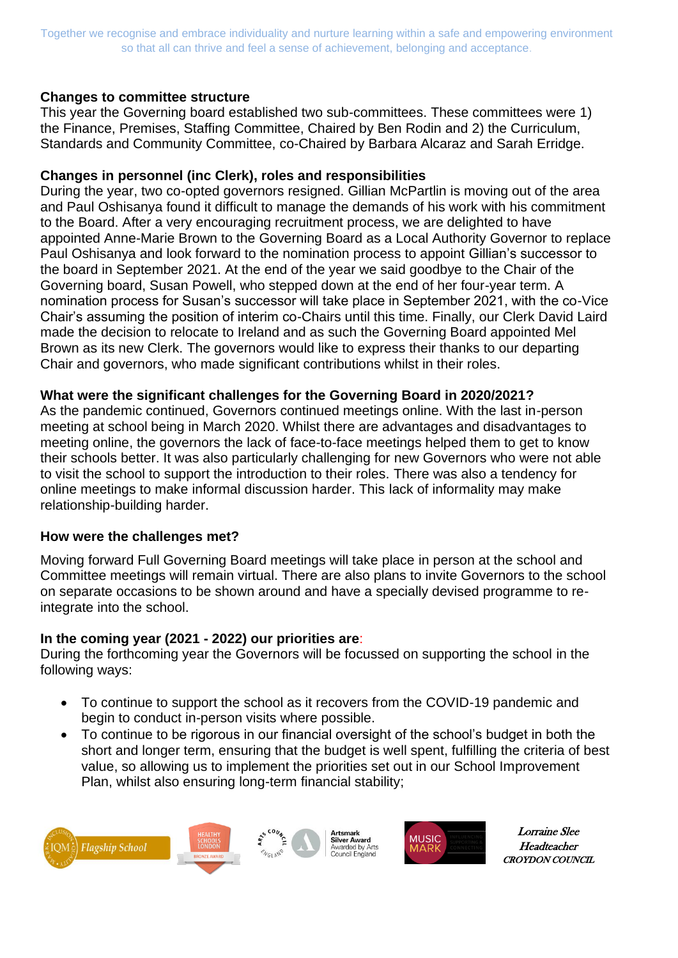Together we recognise and embrace individuality and nurture learning within a safe and empowering environment so that all can thrive and feel a sense of achievement, belonging and acceptance.

### **Changes to committee structure**

This year the Governing board established two sub-committees. These committees were 1) the Finance, Premises, Staffing Committee, Chaired by Ben Rodin and 2) the Curriculum, Standards and Community Committee, co-Chaired by Barbara Alcaraz and Sarah Erridge.

### **Changes in personnel (inc Clerk), roles and responsibilities**

During the year, two co-opted governors resigned. Gillian McPartlin is moving out of the area and Paul Oshisanya found it difficult to manage the demands of his work with his commitment to the Board. After a very encouraging recruitment process, we are delighted to have appointed Anne-Marie Brown to the Governing Board as a Local Authority Governor to replace Paul Oshisanya and look forward to the nomination process to appoint Gillian's successor to the board in September 2021. At the end of the year we said goodbye to the Chair of the Governing board, Susan Powell, who stepped down at the end of her four-year term. A nomination process for Susan's successor will take place in September 2021, with the co-Vice Chair's assuming the position of interim co-Chairs until this time. Finally, our Clerk David Laird made the decision to relocate to Ireland and as such the Governing Board appointed Mel Brown as its new Clerk. The governors would like to express their thanks to our departing Chair and governors, who made significant contributions whilst in their roles.

#### **What were the significant challenges for the Governing Board in 2020/2021?**

As the pandemic continued, Governors continued meetings online. With the last in-person meeting at school being in March 2020. Whilst there are advantages and disadvantages to meeting online, the governors the lack of face-to-face meetings helped them to get to know their schools better. It was also particularly challenging for new Governors who were not able to visit the school to support the introduction to their roles. There was also a tendency for online meetings to make informal discussion harder. This lack of informality may make relationship-building harder.

#### **How were the challenges met?**

Moving forward Full Governing Board meetings will take place in person at the school and Committee meetings will remain virtual. There are also plans to invite Governors to the school on separate occasions to be shown around and have a specially devised programme to reintegrate into the school.

# **In the coming year (2021 - 2022) our priorities are**:

During the forthcoming year the Governors will be focussed on supporting the school in the following ways:

- To continue to support the school as it recovers from the COVID-19 pandemic and begin to conduct in-person visits where possible.
- To continue to be rigorous in our financial oversight of the school's budget in both the short and longer term, ensuring that the budget is well spent, fulfilling the criteria of best value, so allowing us to implement the priorities set out in our School Improvement Plan, whilst also ensuring long-term financial stability;





Lorraine Slee Lorraine Slee Headteacher Headteacher CROYDON COU CROYDON COUNCIL